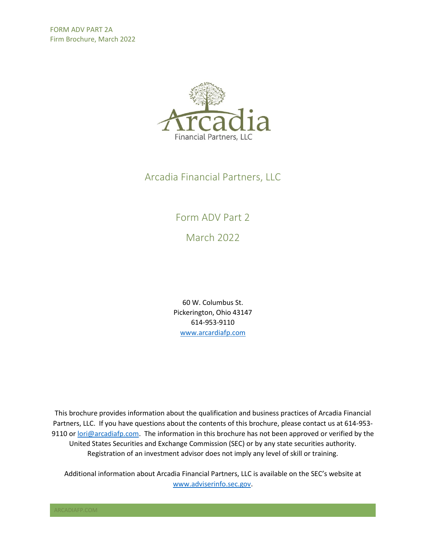

## Arcadia Financial Partners, LLC

## Form ADV Part 2

March 2022

60 W. Columbus St. Pickerington, Ohio 43147 614-953-9110 [www.arcardiafp.com](http://www.arcardiafp.com/)

This brochure provides information about the qualification and business practices of Arcadia Financial Partners, LLC. If you have questions about the contents of this brochure, please contact us at 614-953 9110 or [lori@arcadiafp.com.](mailto:lori@arcadiafp.com) The information in this brochure has not been approved or verified by the United States Securities and Exchange Commission (SEC) or by any state securities authority. Registration of an investment advisor does not imply any level of skill or training.

Additional information about Arcadia Financial Partners, LLC is available on the SEC's website at [www.adviserinfo.sec.gov.](http://www.adviserinfo.sec.gov/)

ARCADIAFP.COM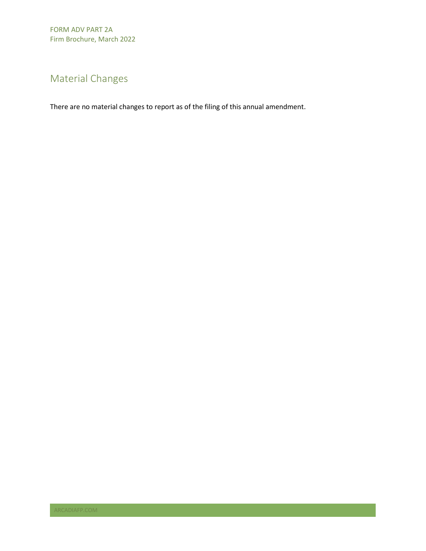# <span id="page-1-0"></span>Material Changes

There are no material changes to report as of the filing of this annual amendment.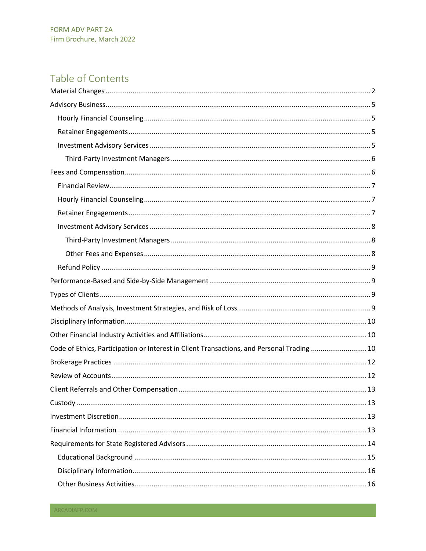## Table of Contents

| Code of Ethics, Participation or Interest in Client Transactions, and Personal Trading  10 |
|--------------------------------------------------------------------------------------------|
|                                                                                            |
|                                                                                            |
|                                                                                            |
|                                                                                            |
|                                                                                            |
|                                                                                            |
|                                                                                            |
|                                                                                            |
|                                                                                            |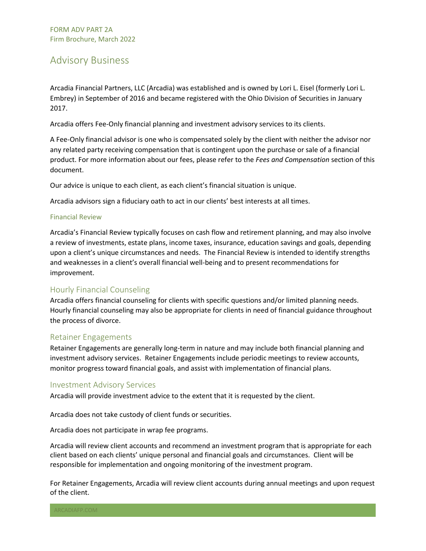## <span id="page-4-0"></span>Advisory Business

Arcadia Financial Partners, LLC (Arcadia) was established and is owned by Lori L. Eisel (formerly Lori L. Embrey) in September of 2016 and became registered with the Ohio Division of Securities in January 2017.

Arcadia offers Fee-Only financial planning and investment advisory services to its clients.

A Fee-Only financial advisor is one who is compensated solely by the client with neither the advisor nor any related party receiving compensation that is contingent upon the purchase or sale of a financial product. For more information about our fees, please refer to the *Fees and Compensation* section of this document.

Our advice is unique to each client, as each client's financial situation is unique.

Arcadia advisors sign a fiduciary oath to act in our clients' best interests at all times.

#### Financial Review

Arcadia's Financial Review typically focuses on cash flow and retirement planning, and may also involve a review of investments, estate plans, income taxes, insurance, education savings and goals, depending upon a client's unique circumstances and needs. The Financial Review is intended to identify strengths and weaknesses in a client's overall financial well-being and to present recommendations for improvement.

#### <span id="page-4-1"></span>Hourly Financial Counseling

Arcadia offers financial counseling for clients with specific questions and/or limited planning needs. Hourly financial counseling may also be appropriate for clients in need of financial guidance throughout the process of divorce.

#### <span id="page-4-2"></span>Retainer Engagements

Retainer Engagements are generally long-term in nature and may include both financial planning and investment advisory services. Retainer Engagements include periodic meetings to review accounts, monitor progress toward financial goals, and assist with implementation of financial plans.

#### <span id="page-4-3"></span>Investment Advisory Services

Arcadia will provide investment advice to the extent that it is requested by the client.

Arcadia does not take custody of client funds or securities.

Arcadia does not participate in wrap fee programs.

Arcadia will review client accounts and recommend an investment program that is appropriate for each client based on each clients' unique personal and financial goals and circumstances. Client will be responsible for implementation and ongoing monitoring of the investment program.

For Retainer Engagements, Arcadia will review client accounts during annual meetings and upon request of the client.

ARCADIAFP.COM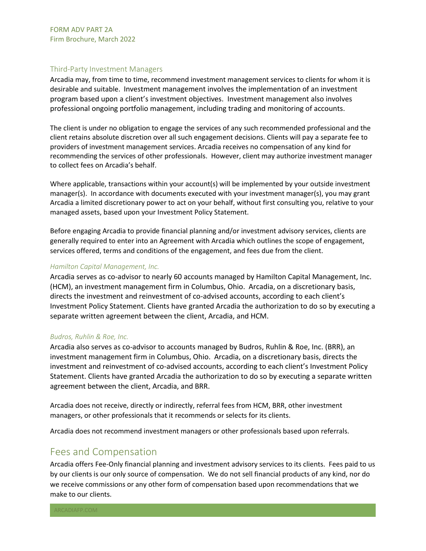#### <span id="page-5-0"></span>Third-Party Investment Managers

Arcadia may, from time to time, recommend investment management services to clients for whom it is desirable and suitable. Investment management involves the implementation of an investment program based upon a client's investment objectives. Investment management also involves professional ongoing portfolio management, including trading and monitoring of accounts.

The client is under no obligation to engage the services of any such recommended professional and the client retains absolute discretion over all such engagement decisions. Clients will pay a separate fee to providers of investment management services. Arcadia receives no compensation of any kind for recommending the services of other professionals. However, client may authorize investment manager to collect fees on Arcadia's behalf.

Where applicable, transactions within your account(s) will be implemented by your outside investment manager(s). In accordance with documents executed with your investment manager(s), you may grant Arcadia a limited discretionary power to act on your behalf, without first consulting you, relative to your managed assets, based upon your Investment Policy Statement.

Before engaging Arcadia to provide financial planning and/or investment advisory services, clients are generally required to enter into an Agreement with Arcadia which outlines the scope of engagement, services offered, terms and conditions of the engagement, and fees due from the client.

#### *Hamilton Capital Management, Inc.*

Arcadia serves as co-advisor to nearly 60 accounts managed by Hamilton Capital Management, Inc. (HCM), an investment management firm in Columbus, Ohio. Arcadia, on a discretionary basis, directs the investment and reinvestment of co-advised accounts, according to each client's Investment Policy Statement. Clients have granted Arcadia the authorization to do so by executing a separate written agreement between the client, Arcadia, and HCM.

#### *Budros, Ruhlin & Roe, Inc.*

Arcadia also serves as co-advisor to accounts managed by Budros, Ruhlin & Roe, Inc. (BRR), an investment management firm in Columbus, Ohio. Arcadia, on a discretionary basis, directs the investment and reinvestment of co-advised accounts, according to each client's Investment Policy Statement. Clients have granted Arcadia the authorization to do so by executing a separate written agreement between the client, Arcadia, and BRR.

Arcadia does not receive, directly or indirectly, referral fees from HCM, BRR, other investment managers, or other professionals that it recommends or selects for its clients.

Arcadia does not recommend investment managers or other professionals based upon referrals.

### <span id="page-5-1"></span>Fees and Compensation

Arcadia offers Fee-Only financial planning and investment advisory services to its clients. Fees paid to us by our clients is our only source of compensation. We do not sell financial products of any kind, nor do we receive commissions or any other form of compensation based upon recommendations that we make to our clients.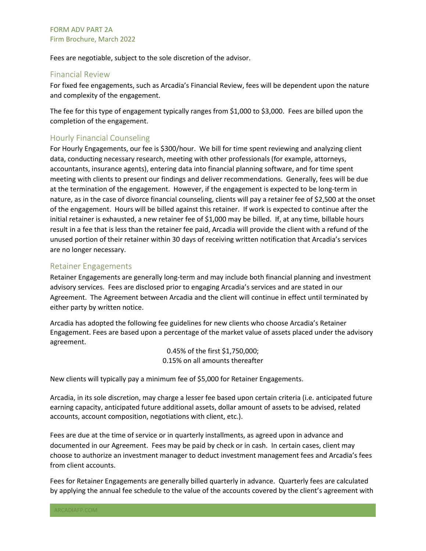Fees are negotiable, subject to the sole discretion of the advisor.

#### <span id="page-6-0"></span>Financial Review

For fixed fee engagements, such as Arcadia's Financial Review, fees will be dependent upon the nature and complexity of the engagement.

The fee for this type of engagement typically ranges from \$1,000 to \$3,000. Fees are billed upon the completion of the engagement.

#### <span id="page-6-1"></span>Hourly Financial Counseling

For Hourly Engagements, our fee is \$300/hour. We bill for time spent reviewing and analyzing client data, conducting necessary research, meeting with other professionals (for example, attorneys, accountants, insurance agents), entering data into financial planning software, and for time spent meeting with clients to present our findings and deliver recommendations. Generally, fees will be due at the termination of the engagement. However, if the engagement is expected to be long-term in nature, as in the case of divorce financial counseling, clients will pay a retainer fee of \$2,500 at the onset of the engagement. Hours will be billed against this retainer. If work is expected to continue after the initial retainer is exhausted, a new retainer fee of \$1,000 may be billed. If, at any time, billable hours result in a fee that is less than the retainer fee paid, Arcadia will provide the client with a refund of the unused portion of their retainer within 30 days of receiving written notification that Arcadia's services are no longer necessary.

#### <span id="page-6-2"></span>Retainer Engagements

Retainer Engagements are generally long-term and may include both financial planning and investment advisory services. Fees are disclosed prior to engaging Arcadia's services and are stated in our Agreement. The Agreement between Arcadia and the client will continue in effect until terminated by either party by written notice.

Arcadia has adopted the following fee guidelines for new clients who choose Arcadia's Retainer Engagement. Fees are based upon a percentage of the market value of assets placed under the advisory agreement.

> 0.45% of the first \$1,750,000; 0.15% on all amounts thereafter

New clients will typically pay a minimum fee of \$5,000 for Retainer Engagements.

Arcadia, in its sole discretion, may charge a lesser fee based upon certain criteria (i.e. anticipated future earning capacity, anticipated future additional assets, dollar amount of assets to be advised, related accounts, account composition, negotiations with client, etc.).

Fees are due at the time of service or in quarterly installments, as agreed upon in advance and documented in our Agreement. Fees may be paid by check or in cash. In certain cases, client may choose to authorize an investment manager to deduct investment management fees and Arcadia's fees from client accounts.

Fees for Retainer Engagements are generally billed quarterly in advance. Quarterly fees are calculated by applying the annual fee schedule to the value of the accounts covered by the client's agreement with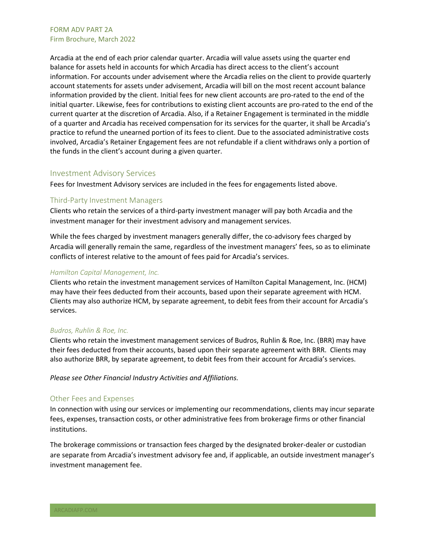Arcadia at the end of each prior calendar quarter. Arcadia will value assets using the quarter end balance for assets held in accounts for which Arcadia has direct access to the client's account information. For accounts under advisement where the Arcadia relies on the client to provide quarterly account statements for assets under advisement, Arcadia will bill on the most recent account balance information provided by the client. Initial fees for new client accounts are pro-rated to the end of the initial quarter. Likewise, fees for contributions to existing client accounts are pro-rated to the end of the current quarter at the discretion of Arcadia. Also, if a Retainer Engagement is terminated in the middle of a quarter and Arcadia has received compensation for its services for the quarter, it shall be Arcadia's practice to refund the unearned portion of its fees to client. Due to the associated administrative costs involved, Arcadia's Retainer Engagement fees are not refundable if a client withdraws only a portion of the funds in the client's account during a given quarter.

#### <span id="page-7-0"></span>Investment Advisory Services

Fees for Investment Advisory services are included in the fees for engagements listed above.

#### <span id="page-7-1"></span>Third-Party Investment Managers

Clients who retain the services of a third-party investment manager will pay both Arcadia and the investment manager for their investment advisory and management services.

While the fees charged by investment managers generally differ, the co-advisory fees charged by Arcadia will generally remain the same, regardless of the investment managers' fees, so as to eliminate conflicts of interest relative to the amount of fees paid for Arcadia's services.

#### *Hamilton Capital Management, Inc.*

Clients who retain the investment management services of Hamilton Capital Management, Inc. (HCM) may have their fees deducted from their accounts, based upon their separate agreement with HCM. Clients may also authorize HCM, by separate agreement, to debit fees from their account for Arcadia's services.

#### *Budros, Ruhlin & Roe, Inc.*

Clients who retain the investment management services of Budros, Ruhlin & Roe, Inc. (BRR) may have their fees deducted from their accounts, based upon their separate agreement with BRR. Clients may also authorize BRR, by separate agreement, to debit fees from their account for Arcadia's services.

*Please see Other Financial Industry Activities and Affiliations.*

#### <span id="page-7-2"></span>Other Fees and Expenses

In connection with using our services or implementing our recommendations, clients may incur separate fees, expenses, transaction costs, or other administrative fees from brokerage firms or other financial institutions.

The brokerage commissions or transaction fees charged by the designated broker-dealer or custodian are separate from Arcadia's investment advisory fee and, if applicable, an outside investment manager's investment management fee.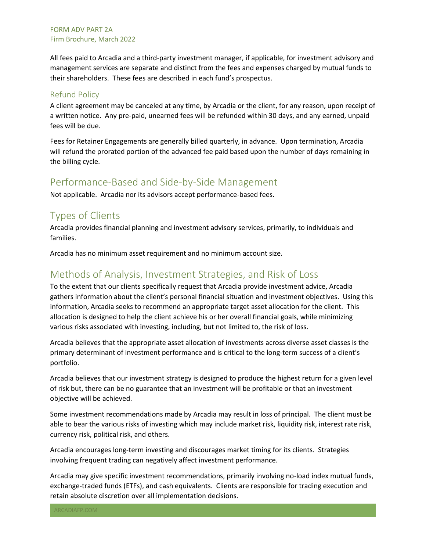All fees paid to Arcadia and a third-party investment manager, if applicable, for investment advisory and management services are separate and distinct from the fees and expenses charged by mutual funds to their shareholders. These fees are described in each fund's prospectus.

#### <span id="page-8-0"></span>Refund Policy

A client agreement may be canceled at any time, by Arcadia or the client, for any reason, upon receipt of a written notice. Any pre-paid, unearned fees will be refunded within 30 days, and any earned, unpaid fees will be due.

Fees for Retainer Engagements are generally billed quarterly, in advance. Upon termination, Arcadia will refund the prorated portion of the advanced fee paid based upon the number of days remaining in the billing cycle.

## <span id="page-8-1"></span>Performance-Based and Side-by-Side Management

Not applicable. Arcadia nor its advisors accept performance-based fees.

## <span id="page-8-2"></span>Types of Clients

Arcadia provides financial planning and investment advisory services, primarily, to individuals and families.

Arcadia has no minimum asset requirement and no minimum account size.

## <span id="page-8-3"></span>Methods of Analysis, Investment Strategies, and Risk of Loss

To the extent that our clients specifically request that Arcadia provide investment advice, Arcadia gathers information about the client's personal financial situation and investment objectives. Using this information, Arcadia seeks to recommend an appropriate target asset allocation for the client. This allocation is designed to help the client achieve his or her overall financial goals, while minimizing various risks associated with investing, including, but not limited to, the risk of loss.

Arcadia believes that the appropriate asset allocation of investments across diverse asset classes is the primary determinant of investment performance and is critical to the long-term success of a client's portfolio.

Arcadia believes that our investment strategy is designed to produce the highest return for a given level of risk but, there can be no guarantee that an investment will be profitable or that an investment objective will be achieved.

Some investment recommendations made by Arcadia may result in loss of principal. The client must be able to bear the various risks of investing which may include market risk, liquidity risk, interest rate risk, currency risk, political risk, and others.

Arcadia encourages long-term investing and discourages market timing for its clients. Strategies involving frequent trading can negatively affect investment performance.

Arcadia may give specific investment recommendations, primarily involving no-load index mutual funds, exchange-traded funds (ETFs), and cash equivalents. Clients are responsible for trading execution and retain absolute discretion over all implementation decisions.

ARCADIAFP.COM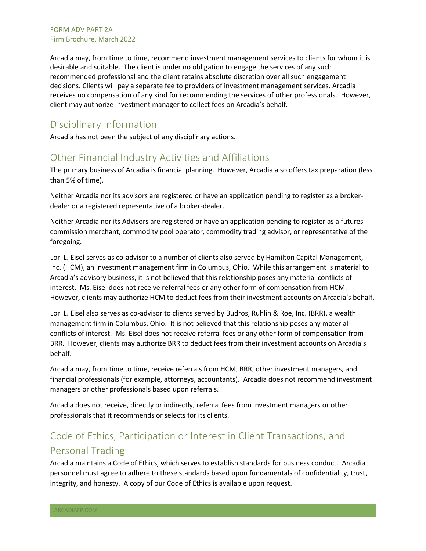Arcadia may, from time to time, recommend investment management services to clients for whom it is desirable and suitable. The client is under no obligation to engage the services of any such recommended professional and the client retains absolute discretion over all such engagement decisions. Clients will pay a separate fee to providers of investment management services. Arcadia receives no compensation of any kind for recommending the services of other professionals. However, client may authorize investment manager to collect fees on Arcadia's behalf.

### <span id="page-9-0"></span>Disciplinary Information

Arcadia has not been the subject of any disciplinary actions.

### <span id="page-9-1"></span>Other Financial Industry Activities and Affiliations

The primary business of Arcadia is financial planning. However, Arcadia also offers tax preparation (less than 5% of time).

Neither Arcadia nor its advisors are registered or have an application pending to register as a brokerdealer or a registered representative of a broker-dealer.

Neither Arcadia nor its Advisors are registered or have an application pending to register as a futures commission merchant, commodity pool operator, commodity trading advisor, or representative of the foregoing.

Lori L. Eisel serves as co-advisor to a number of clients also served by Hamilton Capital Management, Inc. (HCM), an investment management firm in Columbus, Ohio. While this arrangement is material to Arcadia's advisory business, it is not believed that this relationship poses any material conflicts of interest. Ms. Eisel does not receive referral fees or any other form of compensation from HCM. However, clients may authorize HCM to deduct fees from their investment accounts on Arcadia's behalf.

Lori L. Eisel also serves as co-advisor to clients served by Budros, Ruhlin & Roe, Inc. (BRR), a wealth management firm in Columbus, Ohio. It is not believed that this relationship poses any material conflicts of interest. Ms. Eisel does not receive referral fees or any other form of compensation from BRR. However, clients may authorize BRR to deduct fees from their investment accounts on Arcadia's behalf.

Arcadia may, from time to time, receive referrals from HCM, BRR, other investment managers, and financial professionals (for example, attorneys, accountants). Arcadia does not recommend investment managers or other professionals based upon referrals.

Arcadia does not receive, directly or indirectly, referral fees from investment managers or other professionals that it recommends or selects for its clients.

# <span id="page-9-2"></span>Code of Ethics, Participation or Interest in Client Transactions, and Personal Trading

Arcadia maintains a Code of Ethics, which serves to establish standards for business conduct. Arcadia personnel must agree to adhere to these standards based upon fundamentals of confidentiality, trust, integrity, and honesty. A copy of our Code of Ethics is available upon request.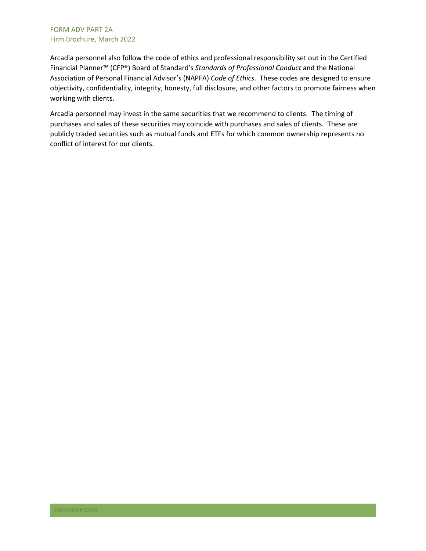Arcadia personnel also follow the code of ethics and professional responsibility set out in the Certified Financial Planner™ (CFP®) Board of Standard's *Standards of Professional Conduct* and the National Association of Personal Financial Advisor's (NAPFA) *Code of Ethics*. These codes are designed to ensure objectivity, confidentiality, integrity, honesty, full disclosure, and other factors to promote fairness when working with clients.

Arcadia personnel may invest in the same securities that we recommend to clients. The timing of purchases and sales of these securities may coincide with purchases and sales of clients. These are publicly traded securities such as mutual funds and ETFs for which common ownership represents no conflict of interest for our clients.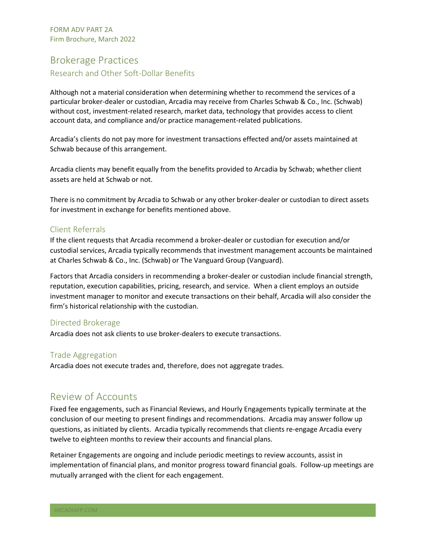## <span id="page-11-0"></span>Brokerage Practices Research and Other Soft-Dollar Benefits

Although not a material consideration when determining whether to recommend the services of a particular broker-dealer or custodian, Arcadia may receive from Charles Schwab & Co., Inc. (Schwab) without cost, investment-related research, market data, technology that provides access to client account data, and compliance and/or practice management-related publications.

Arcadia's clients do not pay more for investment transactions effected and/or assets maintained at Schwab because of this arrangement.

Arcadia clients may benefit equally from the benefits provided to Arcadia by Schwab; whether client assets are held at Schwab or not.

There is no commitment by Arcadia to Schwab or any other broker-dealer or custodian to direct assets for investment in exchange for benefits mentioned above.

#### Client Referrals

If the client requests that Arcadia recommend a broker-dealer or custodian for execution and/or custodial services, Arcadia typically recommends that investment management accounts be maintained at Charles Schwab & Co., Inc. (Schwab) or The Vanguard Group (Vanguard).

Factors that Arcadia considers in recommending a broker-dealer or custodian include financial strength, reputation, execution capabilities, pricing, research, and service. When a client employs an outside investment manager to monitor and execute transactions on their behalf, Arcadia will also consider the firm's historical relationship with the custodian.

#### Directed Brokerage

Arcadia does not ask clients to use broker-dealers to execute transactions.

#### Trade Aggregation

Arcadia does not execute trades and, therefore, does not aggregate trades.

## <span id="page-11-1"></span>Review of Accounts

Fixed fee engagements, such as Financial Reviews, and Hourly Engagements typically terminate at the conclusion of our meeting to present findings and recommendations. Arcadia may answer follow up questions, as initiated by clients. Arcadia typically recommends that clients re-engage Arcadia every twelve to eighteen months to review their accounts and financial plans.

Retainer Engagements are ongoing and include periodic meetings to review accounts, assist in implementation of financial plans, and monitor progress toward financial goals. Follow-up meetings are mutually arranged with the client for each engagement.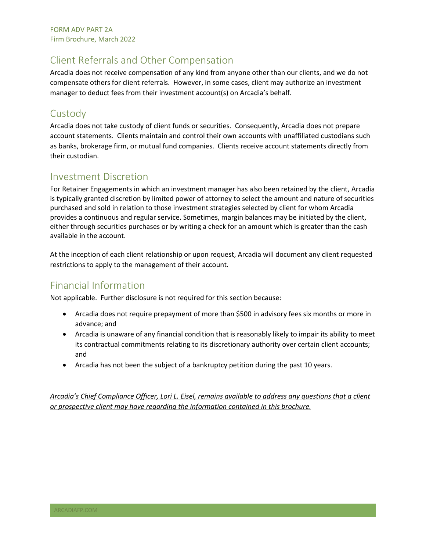## <span id="page-12-0"></span>Client Referrals and Other Compensation

Arcadia does not receive compensation of any kind from anyone other than our clients, and we do not compensate others for client referrals. However, in some cases, client may authorize an investment manager to deduct fees from their investment account(s) on Arcadia's behalf.

## <span id="page-12-1"></span>**Custody**

Arcadia does not take custody of client funds or securities. Consequently, Arcadia does not prepare account statements. Clients maintain and control their own accounts with unaffiliated custodians such as banks, brokerage firm, or mutual fund companies. Clients receive account statements directly from their custodian.

## <span id="page-12-2"></span>Investment Discretion

For Retainer Engagements in which an investment manager has also been retained by the client, Arcadia is typically granted discretion by limited power of attorney to select the amount and nature of securities purchased and sold in relation to those investment strategies selected by client for whom Arcadia provides a continuous and regular service. Sometimes, margin balances may be initiated by the client, either through securities purchases or by writing a check for an amount which is greater than the cash available in the account.

At the inception of each client relationship or upon request, Arcadia will document any client requested restrictions to apply to the management of their account.

## <span id="page-12-3"></span>Financial Information

Not applicable. Further disclosure is not required for this section because:

- Arcadia does not require prepayment of more than \$500 in advisory fees six months or more in advance; and
- Arcadia is unaware of any financial condition that is reasonably likely to impair its ability to meet its contractual commitments relating to its discretionary authority over certain client accounts; and
- Arcadia has not been the subject of a bankruptcy petition during the past 10 years.

*Arcadia's Chief Compliance Officer, Lori L. Eisel, remains available to address any questions that a client or prospective client may have regarding the information contained in this brochure.*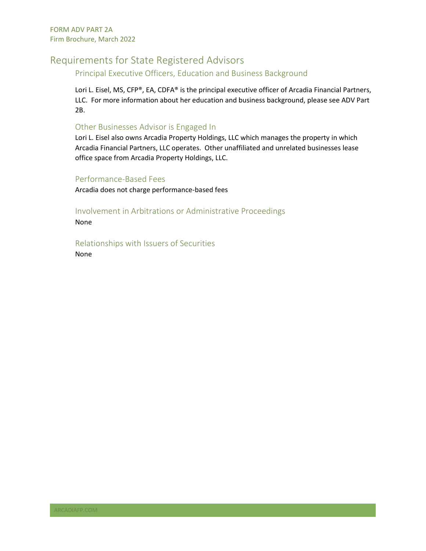## <span id="page-13-0"></span>Requirements for State Registered Advisors

Principal Executive Officers, Education and Business Background

Lori L. Eisel, MS, CFP®, EA, CDFA® is the principal executive officer of Arcadia Financial Partners, LLC. For more information about her education and business background, please see ADV Part 2B.

#### Other Businesses Advisor is Engaged In

Lori L. Eisel also owns Arcadia Property Holdings, LLC which manages the property in which Arcadia Financial Partners, LLC operates. Other unaffiliated and unrelated businesses lease office space from Arcadia Property Holdings, LLC.

#### Performance-Based Fees

Arcadia does not charge performance-based fees

#### Involvement in Arbitrations or Administrative Proceedings

None

Relationships with Issuers of Securities None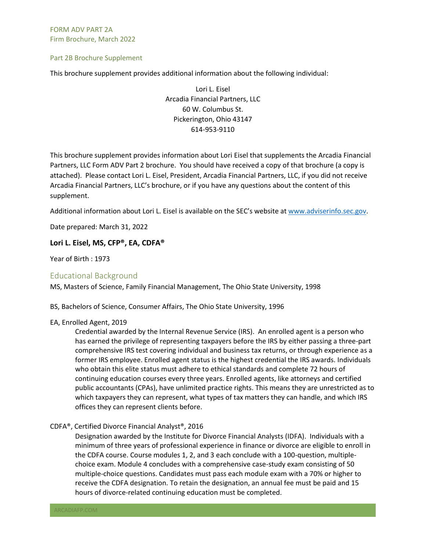Part 2B Brochure Supplement

This brochure supplement provides additional information about the following individual:

Lori L. Eisel Arcadia Financial Partners, LLC 60 W. Columbus St. Pickerington, Ohio 43147 614-953-9110

This brochure supplement provides information about Lori Eisel that supplements the Arcadia Financial Partners, LLC Form ADV Part 2 brochure. You should have received a copy of that brochure (a copy is attached). Please contact Lori L. Eisel, President, Arcadia Financial Partners, LLC, if you did not receive Arcadia Financial Partners, LLC's brochure, or if you have any questions about the content of this supplement.

Additional information about Lori L. Eisel is available on the SEC's website at [www.adviserinfo.sec.gov.](http://www.adviserinfo.sec.gov/)

Date prepared: March 31, 2022

#### <span id="page-14-0"></span>**Lori L. Eisel, MS, CFP®, EA, CDFA®**

Year of Birth : 1973

#### Educational Background

MS, Masters of Science, Family Financial Management, The Ohio State University, 1998

BS, Bachelors of Science, Consumer Affairs, The Ohio State University, 1996

#### EA, Enrolled Agent, 2019

Credential awarded by the Internal Revenue Service (IRS). An enrolled agent is a person who has earned the privilege of representing taxpayers before the IRS by either passing a three-part comprehensive IRS test covering individual and business tax returns, or through experience as a former IRS employee. Enrolled agent status is the highest credential the IRS awards. Individuals who obtain this elite status must adhere to ethical standards and complete 72 hours of continuing education courses every three years. Enrolled agents, like attorneys and certified public accountants (CPAs), have unlimited practice rights. This means they are unrestricted as to which taxpayers they can represent, what types of tax matters they can handle, and which IRS offices they can represent clients before.

#### CDFA®, Certified Divorce Financial Analyst®, 2016

Designation awarded by the Institute for Divorce Financial Analysts (IDFA). Individuals with a minimum of three years of professional experience in finance or divorce are eligible to enroll in the CDFA course. Course modules 1, 2, and 3 each conclude with a 100-question, multiplechoice exam. Module 4 concludes with a comprehensive case-study exam consisting of 50 multiple-choice questions. Candidates must pass each module exam with a 70% or higher to receive the CDFA designation. To retain the designation, an annual fee must be paid and 15 hours of divorce-related continuing education must be completed.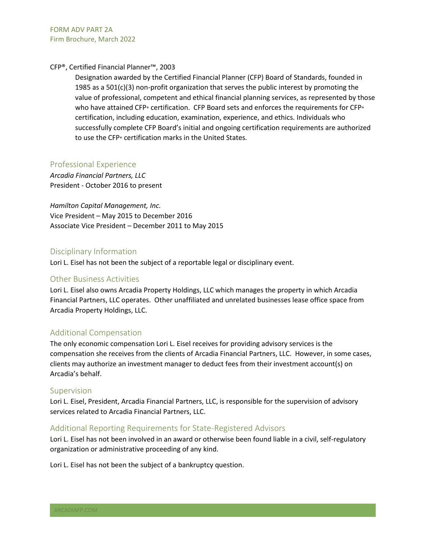#### CFP®, Certified Financial Planner™, 2003

Designation awarded by the Certified Financial Planner (CFP) Board of Standards, founded in 1985 as a  $501(c)(3)$  non-profit organization that serves the public interest by promoting the value of professional, competent and ethical financial planning services, as represented by those who have attained CFP® certification. CFP Board sets and enforces the requirements for CFP® certification, including [education,](http://www.cfp.net/about-cfp-board/about-cfp-board/history/certification-milestones#education) examination, experience, and ethics. Individuals who successfully complete CFP Board's initial and ongoing certification requirements are authorized to use the CFP® certification marks in the United States.

#### <span id="page-15-0"></span>Professional Experience

*Arcadia Financial Partners, LLC* President - October 2016 to present

*Hamilton Capital Management, Inc.* Vice President – May 2015 to December 2016 Associate Vice President – December 2011 to May 2015

#### Disciplinary Information

Lori L. Eisel has not been the subject of a reportable legal or disciplinary event.

#### <span id="page-15-1"></span>Other Business Activities

<span id="page-15-2"></span>Lori L. Eisel also owns Arcadia Property Holdings, LLC which manages the property in which Arcadia Financial Partners, LLC operates. Other unaffiliated and unrelated businesses lease office space from Arcadia Property Holdings, LLC.

#### Additional Compensation

The only economic compensation Lori L. Eisel receives for providing advisory services is the compensation she receives from the clients of Arcadia Financial Partners, LLC. However, in some cases, clients may authorize an investment manager to deduct fees from their investment account(s) on Arcadia's behalf.

#### <span id="page-15-3"></span>Supervision

Lori L. Eisel, President, Arcadia Financial Partners, LLC, is responsible for the supervision of advisory services related to Arcadia Financial Partners, LLC.

#### <span id="page-15-4"></span>Additional Reporting Requirements for State-Registered Advisors

Lori L. Eisel has not been involved in an award or otherwise been found liable in a civil, self-regulatory organization or administrative proceeding of any kind.

Lori L. Eisel has not been the subject of a bankruptcy question.